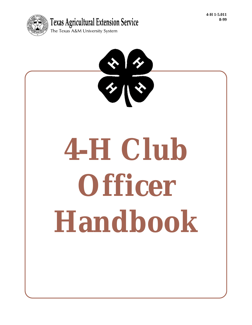

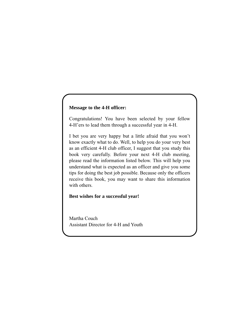## **Message to the 4-H officer:**

Congratulations! You have been selected by your fellow 4-H'ers to lead them through a successful year in 4-H.

I bet you are very happy but a little afraid that you won't know exactly what to do. Well, to help you do your very best as an efficient 4-H club officer, I suggest that you study this book very carefully. Before your next 4-H club meeting, please read the information listed below. This will help you understand what is expected as an officer and give you some tips for doing the best job possible. Because only the officers receive this book, you may want to share this information with others.

## **Best wishes for a successful year!**

Martha Couch Assistant Director for 4-H and Youth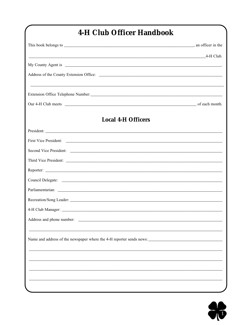# 4-H Club Officer Handbook

| $4-H$ Club.                                                                                                                                                                                                                    |  |
|--------------------------------------------------------------------------------------------------------------------------------------------------------------------------------------------------------------------------------|--|
|                                                                                                                                                                                                                                |  |
|                                                                                                                                                                                                                                |  |
| Extension Office Telephone Number: Letters and the set of the set of the set of the set of the set of the set of the set of the set of the set of the set of the set of the set of the set of the set of the set of the set of |  |
|                                                                                                                                                                                                                                |  |
| <b>Local 4-H Officers</b>                                                                                                                                                                                                      |  |
| President:                                                                                                                                                                                                                     |  |
|                                                                                                                                                                                                                                |  |
|                                                                                                                                                                                                                                |  |
|                                                                                                                                                                                                                                |  |
|                                                                                                                                                                                                                                |  |
|                                                                                                                                                                                                                                |  |
|                                                                                                                                                                                                                                |  |
|                                                                                                                                                                                                                                |  |
|                                                                                                                                                                                                                                |  |
| Address and phone number:                                                                                                                                                                                                      |  |
| Name and address of the newspaper where the 4-H reporter sends news:                                                                                                                                                           |  |
|                                                                                                                                                                                                                                |  |
|                                                                                                                                                                                                                                |  |
|                                                                                                                                                                                                                                |  |
|                                                                                                                                                                                                                                |  |

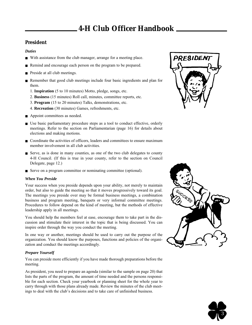## **4-H Club Officer Handbook**

## **President**

### *Duties*

- With assistance from the club manager, arrange for a meeting place.
- Remind and encourage each person on the program to be prepared.
- Preside at all club meetings.
- Remember that good club meetings include four basic ingredients and plan for them.
	- 1. **Inspiration** (5 to 10 minutes) Motto, pledge, songs, etc.
	- 2. **Business** (15 minutes) Roll call, minutes, committee reports, etc.
	- 3. **Program** (15 to 20 minutes) Talks, demonstrations, etc.
	- 4. **Recreation** (30 minutes) Games, refreshments, etc.
- Appoint committees as needed.
- Use basic parliamentary procedure steps as a tool to conduct effective, orderly meetings. Refer to the section on Parliamentarian (page 16) for details about elections and making motions.
- Coordinate the activities of officers, leaders and committees to ensure maximum member involvement in all club activities.
- Serve, as is done in many counties, as one of the two club delegates to county 4-H Council. (If this is true in your county, refer to the section on Council Delegate, page 12.)
- Serve on a program committee or nominating committee (optional).

### *When You Preside*

Your success when you preside depends upon your ability, not merely to maintain order, but also to guide the meeting so that it moves progressively toward its goal. The meetings you preside over may be formal business meetings, a combination business and program meeting, banquets or very informal committee meetings. Procedures to follow depend on the kind of meeting, but the methods of effective leadership apply in all meetings.

You should help the members feel at ease, encourage them to take part in the discussion and stimulate their interest in the topic that is being discussed. You can inspire order through the way you conduct the meeting.

In one way or another, meetings should be used to carry out the purpose of the organization. You should know the purposes, functions and policies of the organization and conduct the meetings accordingly.

## *Prepare Yourself*

You can preside more efficiently if you have made thorough preparations before the meeting.

As president, you need to prepare an agenda (similar to the sample on page 20) that lists the parts of the program, the amount of time needed and the persons responsible for each section. Check your yearbook or planning sheet for the whole year to carry through with those plans already made. Review the minutes of the club meetings to deal with the club's decisions and to take care of unfinished business.





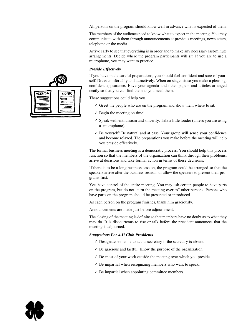All persons on the program should know well in advance what is expected of them.

The members of the audience need to know what to expect in the meeting. You may communicate with them through announcements at previous meetings, newsletters, telephone or the media.

Arrive early to see that everything is in order and to make any necessary last-minute arrangements. Decide where the program participants will sit. If you are to use a microphone, you may want to practice.

#### *Preside Effectively*

If you have made careful preparations, you should feel confident and sure of yourself. Dress comfortably and attractively. When on stage, sit so you make a pleasing, confident appearance. Have your agenda and other papers and articles arranged neatly so that you can find them as you need them.

These suggestions could help you.

- ✓ Greet the people who are on the program and show them where to sit.
- $\checkmark$  Begin the meeting on time!
- ✓ Speak with enthusiasm and sincerity. Talk a little louder (unless you are using a microphone).
- ✓ Be yourself! Be natural and at ease. Your group will sense your confidence and become relaxed. The preparations you make before the meeting will help you preside effectively.

The formal business meeting is a democratic process. You should help this process function so that the members of the organization can think through their problems, arrive at decisions and take formal action in terms of these decisions.

If there is to be a long business session, the program could be arranged so that the speakers arrive after the business session, or allow the speakers to present their programs first.

You have control of the entire meeting. You may ask certain people to have parts on the program, but do not "turn the meeting over to" other persons. Persons who have parts on the program should be presented or introduced.

As each person on the program finishes, thank him graciously.

Announcements are made just before adjournment.

The closing of the meeting is definite so that members have no doubt as to what they may do. It is discourteous to rise or talk before the president announces that the meeting is adjourned.

#### *Suggestions For 4-H Club Presidents*

- ✓ Designate someone to act as secretary if the secretary is absent.
- $\checkmark$  Be gracious and tactful. Know the purpose of the organization.
- ✓ Do most of your work outside the meeting over which you preside.
- $\checkmark$  Be impartial when recognizing members who want to speak.
- $\angle$  Be impartial when appointing committee members.

| <b>AGENDA</b> | <b>NOTES</b> |
|---------------|--------------|

4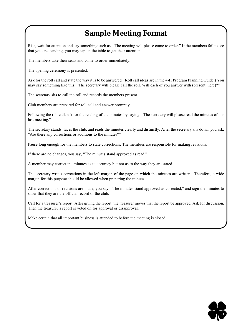# **Sample Meeting Format**

Rise, wait for attention and say something such as, "The meeting will please come to order." If the members fail to see that you are standing, you may tap on the table to get their attention.

The members take their seats and come to order immediately.

The opening ceremony is presented.

Ask for the roll call and state the way it is to be answered. (Roll call ideas are in the 4-H Program Planning Guide.) You may say something like this: "The secretary will please call the roll. Will each of you answer with (present, here)?"

The secretary sits to call the roll and records the members present.

Club members are prepared for roll call and answer promptly.

Following the roll call, ask for the reading of the minutes by saying, "The secretary will please read the minutes of our last meeting."

The secretary stands, faces the club, and reads the minutes clearly and distinctly. After the secretary sits down, you ask, "Are there any corrections or additions to the minutes?"

Pause long enough for the members to state corrections. The members are responsible for making revisions.

If there are no changes, you say, "The minutes stand approved as read."

A member may correct the minutes as to accuracy but not as to the way they are stated.

The secretary writes corrections in the left margin of the page on which the minutes are written. Therefore, a wide margin for this purpose should be allowed when preparing the minutes.

After corrections or revisions are made, you say, "The minutes stand approved as corrected," and sign the minutes to show that they are the official record of the club.

Call for a treasurer's report. After giving the report, the treasurer moves that the report be approved. Ask for discussion. Then the treasurer's report is voted on for approval or disapproval.

Make certain that all important business is attended to before the meeting is closed.

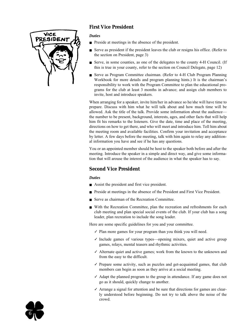

## **First Vice President**

### *Duties*

- Preside at meetings in the absence of the president.
- Serve as president if the president leaves the club or resigns his office. (Refer to the section on President, page 3)
- Serve, in some counties, as one of the delegates to the county 4-H Council. (If this is true in your county, refer to the section on Council Delegate, page 12)
- Serve as Program Committee chairman. (Refer to 4-H Club Program Planning Workbook for more details and program planning hints.) It is the chairman's responsibility to work with the Program Committee to plan the educational programs for the club at least 3 months in advance; and assign club members to invite, host and introduce speakers.

When arranging for a speaker, invite him/her in advance so he/she will have time to prepare. Discuss with him what he will talk about and how much time will be allowed. Ask the title of the talk. Provide some information about the audience the number to be present, background, interests, ages, and other facts that will help him fit his remarks to the listeners. Give the date, time and place of the meeting, directions on how to get there, and who will meet and introduce him. Tell him about the meeting room and available facilities. Confirm your invitation and acceptance by letter. A few days before the meeting, talk with him again to relay any additional information you have and see if he has any questions.

You or an appointed member should be host to the speaker both before and after the meeting. Introduce the speaker in a simple and direct way, and give some information that will arouse the interest of the audience in what the speaker has to say.

## **Second Vice President**

## *Duties*

- Assist the president and first vice president.
- Preside at meetings in the absence of the President and First Vice President.
- Serve as chairman of the Recreation Committee.
- With the Recreation Committee, plan the recreation and refreshments for each club meeting and plan special social events of the club. If your club has a song leader, plan recreation to include the song leader.

Here are some specific guidelines for you and your committee.

- $\checkmark$  Plan more games for your program than you think you will need.
- ✓ Include games of various types—opening mixers, quiet and active group games, relays, mental teasers and rhythmic activities.
- ✓ Alternate quiet and active games; work from the known to the unknown and from the easy to the difficult.
- ✓ Prepare some activity, such as puzzles and get-acquainted games, that club members can begin as soon as they arrive at a social meeting.
- ✓ Adapt the planned program to the group in attendance. If any game does not go as it should, quickly change to another.
- $\checkmark$  Arrange a signal for attention and be sure that directions for games are clearly understood before beginning. Do not try to talk above the noise of the crowd.

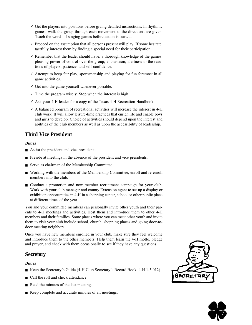- ✓ Get the players into positions before giving detailed instructions. In rhythmic games, walk the group through each movement as the directions are given. Teach the words of singing games before action is started.
- $\checkmark$  Proceed on the assumption that all persons present will play. If some hesitate, tactfully interest them by finding a special need for their participation.
- ✓ Remember that the leader should have: a thorough knowledge of the games; pleasing power of control over the group; enthusiasm; alertness to the reactions of players; patience; and self-confidence.
- ✓ Attempt to keep fair play, sportsmanship and playing for fun foremost in all game activities.
- $\checkmark$  Get into the game yourself whenever possible.
- $\checkmark$  Time the program wisely. Stop when the interest is high.
- ✓ Ask your 4-H leader for a copy of the Texas 4-H Recreation Handbook.
- $\angle$  A balanced program of recreational activities will increase the interest in 4-H club work. It will allow leisure-time practices that enrich life and enable boys and girls to develop. Choice of activities should depend upon the interest and abilities of the club members as well as upon the accessibility of leadership.

## **Third Vice President**

#### *Duties*

- Assist the president and vice presidents.
- Preside at meetings in the absence of the president and vice presidents.
- Serve as chairman of the Membership Committee.
- Working with the members of the Membership Committee, enroll and re-enroll members into the club.
- Conduct a promotion and new member recruitment campaign for your club. Work with your club manager and county Extension agent to set up a display or exhibit on opportunities in 4-H in a shopping center, school or other public place at different times of the year.

You and your committee members can personally invite other youth and their parents to 4-H meetings and activities. Host them and introduce them to other 4-H members and their families. Some places where you can meet other youth and invite them to visit your club include school, church, shopping places and going door-todoor meeting neighbors.

Once you have new members enrolled in your club, make sure they feel welcome and introduce them to the other members. Help them learn the 4-H motto, pledge and prayer, and check with them occasionally to see if they have any questions.

## **Secretary**

### *Duties*

- Keep the Secretary's Guide (4-H Club Secretary's Record Book, 4-H 1-5.012).
- Call the roll and check attendance.
- Read the minutes of the last meeting.
- Keep complete and accurate minutes of all meetings.



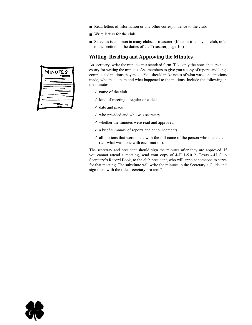- Read letters of information or any other correspondence to the club.
- Write letters for the club.
- Serve, as is common in many clubs, as treasurer. (If this is true in your club, refer to the section on the duties of the Treasurer, page 10.)

## **Writing, Reading and Approving the Minutes**

As secretary, write the minutes in a standard form. Take only the notes that are necessary for writing the minutes. Ask members to give you a copy of reports and long, complicated motions they make. You should make notes of what was done, motions made, who made them and what happened to the motions. Include the following in the minutes:

- $\checkmark$  name of the club
- ✓ kind of meeting—regular or called
- $\checkmark$  date and place
- $\checkmark$  who presided and who was secretary
- ✓ whether the minutes were read and approved
- ✓ a brief summary of reports and announcements
- $\checkmark$  all motions that were made with the full name of the person who made them (tell what was done with each motion).

The secretary and president should sign the minutes after they are approved. If you cannot attend a meeting, send your copy of 4-H 1-5.012, Texas 4-H Club Secretary's Record Book, to the club president, who will appoint someone to serve for that meeting. The substitute will write the minutes in the Secretary's Guide and sign them with the title "secretary pro tem."



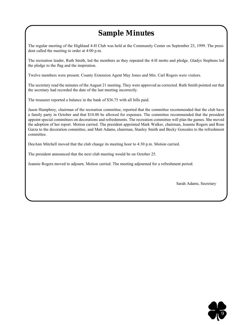# **Sample Minutes**

The regular meeting of the Highland 4-H Club was held at the Community Center on September 23, 1999. The president called the meeting to order at 4:00 p.m.

The recreation leader, Ruth Smith, led the members as they repeated the 4-H motto and pledge. Gladys Stephens led the pledge to the flag and the inspiration.

Twelve members were present. County Extension Agent May Jones and Mrs. Carl Rogers were visitors.

The secretary read the minutes of the August 21 meeting. They were approved as corrected. Ruth Smith pointed out that the secretary had recorded the date of the last meeting incorrectly.

The treasurer reported a balance in the bank of \$36.75 with all bills paid.

Jason Humphrey, chairman of the recreation committee, reported that the committee recommended that the club have a family party in October and that \$10.00 be allowed for expenses. The committee recommended that the president appoint special committees on decorations and refreshments. The recreation committee will plan the games. She moved the adoption of her report. Motion carried. The president appointed Mark Walker, chairman, Jeannie Rogers and Rose Garza to the decoration committee, and Matt Adams, chairman, Stanley Smith and Becky Gonzales to the refreshment committee.

DeeAnn Mitchell moved that the club change its meeting hour to 4:30 p.m. Motion carried.

The president announced that the next club meeting would be on October 25.

Jeannie Rogers moved to adjourn. Motion carried. The meeting adjourned for a refreshment period.

Sarah Adams, Secretary

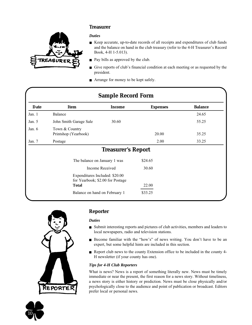## **Treasurer**



#### *Duties*

- Keep accurate, up-to-date records of all receipts and expenditures of club funds and the balance on hand in the club treasury (refer to the 4-H Treasurer's Record Book, 4-H 1-5.013).
- Pay bills as approved by the club.
- Give reports of club's financial condition at each meeting or as requested by the president.
- Arrange for money to be kept safely.

| <b>Sample Record Form</b> |                                                                    |                           |                 |                |
|---------------------------|--------------------------------------------------------------------|---------------------------|-----------------|----------------|
| Date                      | Item                                                               | <b>Income</b>             | <b>Expenses</b> | <b>Balance</b> |
| Jan. 1                    | Balance                                                            |                           |                 | 24.65          |
| Jan. 5                    | John Smith Garage Sale                                             | 30.60                     |                 | 55.25          |
| Jan. $6$                  | Town & Country<br>Printshop (Yearbook)                             |                           | 20.00           | 35.25          |
| Jan. $7$                  | Postage                                                            |                           | 2.00            | 33.25          |
|                           |                                                                    | <b>Treasurer's Report</b> |                 |                |
|                           | The balance on January 1 was                                       |                           | \$24.65         |                |
|                           | Income Received                                                    |                           | 30.60           |                |
|                           | Expenditures Included: \$20.00<br>for Yearbook; \$2.00 for Postage |                           |                 |                |
|                           | <b>Total</b>                                                       |                           | 22.00           |                |
|                           | Balance on hand on February 1                                      |                           | \$33.25         |                |



10

## **Reporter**

### *Duties*

- Submit interesting reports and pictures of club activities, members and leaders to local newspapers, radio and television stations.
- Become familiar with the "how's" of news writing. You don't have to be an expert, but some helpful hints are included in this section.
- Report club news to the county Extension office to be included in the county 4-H newsletter (if your county has one).

## *Tips for 4-H Club Reporters*

What is news? News is a report of something literally new. News must be timely immediate or near the present, the first reason for a news story. Without timeliness, a news story is either history or prediction. News must be close physically and/or psychologically close to the audience and point of publication or broadcast. Editors prefer local or personal news.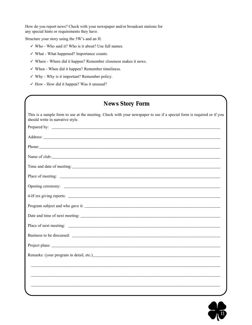How do you report news? Check with your newspaper and/or broadcast stations for any special hints or requirements they have.

Structure your story using the 5W's and an H.

- ✓ Who Who said it? Who is it about? Use full names.
- ✓ What What happened? Importance counts.
- ✓ Where Where did it happen? Remember closeness makes it news.
- ✓ When When did it happen? Remember timeliness.
- ✓ Why Why is it important? Remember policy.
- ✓ How How did it happen? Was it unusual?

## **News Story Form**

| This is a sample form to use at the meeting. Check with your newspaper to see if a special form is required or if you<br>should write in narrative style.                                                                        |
|----------------------------------------------------------------------------------------------------------------------------------------------------------------------------------------------------------------------------------|
|                                                                                                                                                                                                                                  |
| Address: <u>New York: Address:</u> New York: 2008                                                                                                                                                                                |
| Phone: Note and the second contract of the second contract of the second contract of the second contract of the second contract of the second contract of the second contract of the second contract of the second contract of   |
| Name of club: Name of club:                                                                                                                                                                                                      |
|                                                                                                                                                                                                                                  |
|                                                                                                                                                                                                                                  |
|                                                                                                                                                                                                                                  |
| 4-H'ers giving reports:                                                                                                                                                                                                          |
|                                                                                                                                                                                                                                  |
|                                                                                                                                                                                                                                  |
|                                                                                                                                                                                                                                  |
|                                                                                                                                                                                                                                  |
|                                                                                                                                                                                                                                  |
| Remarks: (your program in detail, etc.)<br>and the contract of the contract of the contract of the contract of the contract of the contract of the contract of the contract of the contract of the contract of the contract of t |
|                                                                                                                                                                                                                                  |
|                                                                                                                                                                                                                                  |
|                                                                                                                                                                                                                                  |
|                                                                                                                                                                                                                                  |

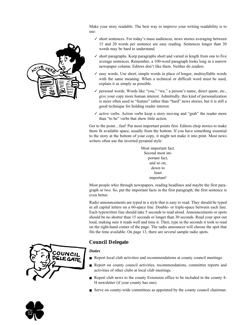Make your story readable. The best way to improve your writing readability is to use:

- $\checkmark$  short sentences. For today's mass audiences, news stories averaging between 15 and 20 words per sentence are easy reading. Sentences longer than 30 words may be hard to understand.
- ✓ short paragraphs. Keep paragraphs short and varied in length from one to five average sentences. Remember, a 100-word paragraph looks long in a narrow newspaper column. Editors don't like them. Neither do readers.
- ✓ easy words. Use short, simple words in place of longer, multisyllable words with the same meaning. When a technical or difficult word must be used, explain it as simply as possible.
- ✓ personal words. Words like "you," "we," a person's name, direct quote, etc., give your copy more human interest. Admittedly, this kind of personalization is more often used in "feature" rather than "hard" news stories, but it is still a good technique for holding reader interest.
- $\checkmark$  active verbs. Action verbs keep a story moving and "grab" the reader more than "to be" verbs that show little action.

Get to the point....fast! Put most important points first. Editors chop stories to make them fit available space, usually from the bottom. If you have something essential to the story at the bottom of your copy, it might not make it into print. Most news writers often use the inverted pyramid style:

> Most important fact. Second most important fact, and so on, down to least important!

Most people whiz through newspapers, reading headlines and maybe the first paragraph or two. So, put the important facts in the first paragraph; the first sentence is even better.

Radio announcements are typed in a style that is easy to read. They should be typed in all capital letters on a 60-space line. Double- or triple-space between each line. Each typewritten line should take 5 seconds to read aloud. Announcements or spots should be no shorter than 15 seconds or longer than 30 seconds. Read your spot out loud, making sure it reads well and time it. Then, type in the seconds it took to read on the right-hand corner of the page. The radio announcer will choose the spot that fits the time available. On page 13, there are several sample radio spots.

## **Council Delegate**

## *Duties*

- Report local club activities and recommendations at county council meetings.
- Report on county council activities, recommendations, committee reports and activities of other clubs at local club meetings.
- Report club news to the county Extension office to be included in the county 4-H newsletter (if your county has one).
- Serve on county-wide committees as appointed by the county council chairman.





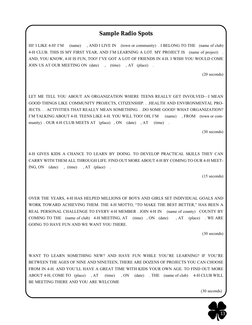## **Sample Radio Spots**

HI! I LIKE 4-H! I'M (name) , AND I LIVE IN (town or community) . I BELONG TO THE (name of club) 4-H CLUB. THIS IS MY FIRST YEAR, AND I'M LEARNING A LOT. MY PROJECT IS (name of project) . AND, YOU KNOW, 4-H IS FUN, TOO! I'VE GOT A LOT OF FRIENDS IN 4-H. I WISH YOU WOULD COME JOIN US AT OUR MEETING ON (date), (time), AT (place).

(20 seconds)

LET ME TELL YOU ABOUT AN ORGANIZATION WHERE TEENS REALLY GET INVOLVED—I MEAN GOOD THINGS LIKE COMMUNITY PROJECTS, CITIZENSHIP. . .HEALTH AND ENVIRONMENTAL PRO-JECTS. . . ACTIVITIES THAT REALLY MEAN SOMETHING. . .DO SOME GOOD! WHAT ORGANIZATION? I'M TALKING ABOUT 4-H. TEENS LIKE 4-H. YOU WILL TOO! OH, I'M (name) , FROM (town or community) . OUR 4-H CLUB MEETS AT (place), ON (date), AT (time).

(30 seconds)

4-H GIVES KIDS A CHANCE TO LEARN BY DOING. TO DEVELOP PRACTICAL SKILLS THEY CAN CARRY WITH THEM ALL THROUGH LIFE. FIND OUT MORE ABOUT 4-H BY COMING TO OUR 4-H MEET-ING, ON (date) , (time) , AT (place) .

(15 seconds)

OVER THE YEARS, 4-H HAS HELPED MILLIONS OF BOYS AND GIRLS SET INDIVIDUAL GOALS AND WORK TOWARD ACHIEVING THEM. THE 4-H MOTTO, "TO MAKE THE BEST BETTER," HAS BEEN A REAL PERSONAL CHALLENGE TO EVERY 4-H MEMBER . JOIN 4-H IN (name of county) COUNTY BY COMING TO THE (name of club) 4-H MEETING, AT (time) , ON (date) , AT (place) . WE ARE GOING TO HAVE FUN AND WE WANT YOU THERE.

(30 seconds)

WANT TO LEARN SOMETHING NEW? AND HAVE FUN WHILE YOU'RE LEARNING? IF YOU'RE BETWEEN THE AGES OF NINE AND NINETEEN, THERE ARE DOZENS OF PROJECTS YOU CAN CHOOSE FROM IN 4-H. AND YOU'LL HAVE A GREAT TIME WITH KIDS YOUR OWN AGE. TO FIND OUT MORE ABOUT 4-H, COME TO (place) , AT (time) , ON (date) . THE (name of club) 4-H CLUB WILL BE MEETING THERE AND YOU ARE WELCOME

(30 seconds)

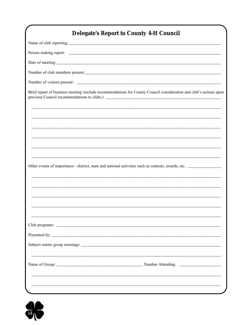| <b>Delegate's Report to County 4-H Council</b>                                                                      |
|---------------------------------------------------------------------------------------------------------------------|
|                                                                                                                     |
|                                                                                                                     |
|                                                                                                                     |
|                                                                                                                     |
|                                                                                                                     |
| Brief report of business meeting (include recommendations for County Council consideration and club's actions upon  |
|                                                                                                                     |
|                                                                                                                     |
|                                                                                                                     |
| Other events of importance—district, state and national activities such as contests, awards, etc.                   |
|                                                                                                                     |
|                                                                                                                     |
|                                                                                                                     |
|                                                                                                                     |
|                                                                                                                     |
|                                                                                                                     |
|                                                                                                                     |
| and the contract of the contract of the contract of the contract of the contract of the contract of the contract of |

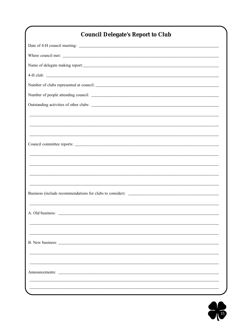# **Council Delegate's Report to Club**

| Where council met:                                                                                                                        |
|-------------------------------------------------------------------------------------------------------------------------------------------|
|                                                                                                                                           |
| $4-H$ club: $\overline{\phantom{a}}$                                                                                                      |
| Number of clubs represented at council:                                                                                                   |
|                                                                                                                                           |
|                                                                                                                                           |
| <u> 1989 - Johann John Stone, markin basar basa da shekara ta 1989 - An tsara tsara tsara tsara tsara tsara tsar</u>                      |
| <u> 1989 - Andrea Barbara, Amerikaansk politiker (d. 1989)</u>                                                                            |
| <u> 1989 - Andrea Barbara, Amerikaansk politiker (d. 1989)</u>                                                                            |
| Council committee reports:                                                                                                                |
| <u> 1989 - Johann Stoff, amerikansk politiker (d. 1989)</u>                                                                               |
| <u> 1989 - Johann Stoff, amerikansk politiker (d. 1989)</u>                                                                               |
| <u> 1989 - Johann Stoff, amerikansk politiker (d. 1989)</u>                                                                               |
| <u> 1989 - Johann John Stone, markin basar basa da shekara ta 1989 - An tsara tsara tsara tsara tsara tsara tsar</u>                      |
|                                                                                                                                           |
|                                                                                                                                           |
|                                                                                                                                           |
|                                                                                                                                           |
|                                                                                                                                           |
| B. New business:<br><u> 1989 - Johann Barn, mars ann an t-Amhain Aonaich an t-Aonaich an t-Aonaich an t-Aonaich an t-Aonaich an t-Aon</u> |
|                                                                                                                                           |
|                                                                                                                                           |
| Announcements: Announcements:                                                                                                             |
|                                                                                                                                           |
|                                                                                                                                           |

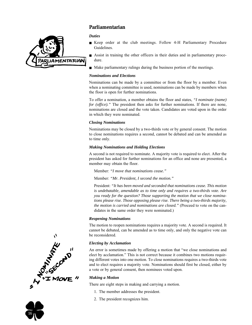

## **Parliamentarian**

### *Duties*

- Keep order at the club meetings. Follow 4-H Parliamentary Procedure Guidelines.
- Assist in training the other officers in their duties and in parliamentary procedure.
- Make parliamentary rulings during the business portion of the meetings.

### *Nominations and Elections*

Nominations can be made by a committee or from the floor by a member. Even when a nominating committee is used, nominations can be made by members when the floor is open for further nominations.

To offer a nomination, a member obtains the floor and states, *"I nominate (name) for (office).*" The president then asks for further nominations. If there are none, nominations are closed and the vote taken. Candidates are voted upon in the order in which they were nominated.

### *Closing Nominations*

Nominations may be closed by a two-thirds vote or by general consent. The motion to close nominations requires a second, cannot be debated and can be amended as to time only.

### *Making Nominations and Holding Elections*

A second is not required to nominate. A majority vote is required to elect. After the president has asked for further nominations for an office and none are presented, a member may obtain the floor.

Member: *"I move that nominations cease."*

Member: *"Mr. President, I second the motion."*

President: *"It has been moved and seconded that nominations cease. This motion is undebatable, amendable as to time only and requires a two-thirds vote. Are you ready for the question? Those supporting the motion that we close nominations please rise. Those opposing please rise. There being a two-thirds majority, the motion is carried and nominations are closed."* (Proceed to vote on the candidates in the same order they were nominated.)

## *Reopening Nominations*

The motion to reopen nominations requires a majority vote. A second is required. It cannot be debated, can be amended as to time only, and only the negative vote can be reconsidered.

## *Electing by Acclamation*

An error is sometimes made by offering a motion that "we close nominations and elect by acclamation." This is not correct because it combines two motions requiring different votes into one motion. To close nominations requires a two-thirds vote and to elect requires a majority vote. Nominations should first be closed, either by a vote or by general consent, then nominees voted upon.

### *Making a Motion*

There are eight steps in making and carrying a motion.

- 1. The member addresses the president.
- 2. The president recognizes him.



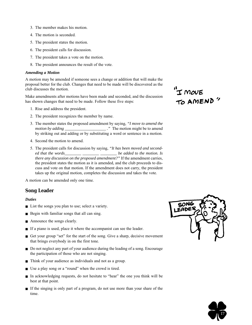- 3. The member makes his motion.
- 4. The motion is seconded.
- 5. The president states the motion.
- 6. The president calls for discussion.
- 7. The president takes a vote on the motion.
- 8. The president announces the result of the vote.

#### *Amending a Motion*

A motion may be amended if someone sees a change or addition that will make the proposal better for the club. Changes that need to be made will be discovered as the club discusses the motion.

Make amendments after motions have been made and seconded, and the discussion has shown changes that need to be made. Follow these five steps:

- 1. Rise and address the president.
- 2. The president recognizes the member by name.
- 3. The member states the proposed amendment by saying, *"I move to amend the motion by adding \_\_\_\_\_\_\_\_\_\_\_\_\_\_\_\_\_\_\_\_ ."* The motion might be to amend by striking out and adding or by substituting a word or sentence in a motion.
- 4. Second the motion to amend.
- 5. The president calls for discussion by saying, *"It has been moved and seconded that the words\_\_\_\_\_\_\_\_ \_\_\_\_\_\_\_\_ \_\_\_\_\_\_\_\_ be added to the motion. Is there any discussion on the proposed amendment?"* If the amendment carries, the president states the motion as it is amended, and the club proceeds to discuss and vote on that motion. If the amendment does not carry, the president takes up the original motion, completes the discussion and takes the vote.

A motion can be amended only one time.

## **Song Leader**

#### *Duties*

- List the songs you plan to use; select a variety.
- Begin with familiar songs that all can sing.
- Announce the songs clearly.
- If a piano is used, place it where the accompanist can see the leader.
- Get your group "set" for the start of the song. Give a sharp, decisive movement that brings everybody in on the first tone.
- Do not neglect any part of your audience during the leading of a song. Encourage the participation of those who are not singing.
- Think of your audience as individuals and not as a group.
- Use a play song or a "round" when the crowd is tired.
- In acknowledging requests, do not hesitate to "hear" the one you think will be best at that point.
- If the singing is only part of a program, do not use more than your share of the time.

"I MOVE<br>TO AMEND"

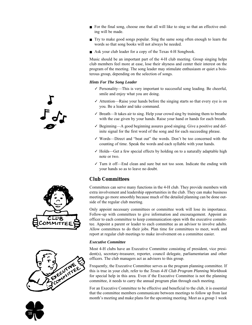- For the final song, choose one that all will like to sing so that an effective ending will be made.
- Try to make good songs popular. Sing the same song often enough to learn the words so that song books will not always be needed.
- Ask your club leader for a copy of the Texas 4-H Songbook.

Music should be an important part of the 4-H club meeting. Group singing helps club members feel more at ease, lose their shyness and center their interest on the program of the meeting. The song leader may stimulate enthusiasm or quiet a boisterous group, depending on the selection of songs.

#### *Hints For The Song Leader*

- $\checkmark$  Personality—This is very important to successful song leading. Be cheerful, smile and enjoy what you are doing.
- ✓ Attention—Raise your hands before the singing starts so that every eye is on you. Be a leader and take command.
- ✓ Breath—It takes air to sing. Help your crowd sing by training them to breathe with the cue given by your hands. Raise your hand or hands for each breath.
- ✓ Beginning—A good beginning assures good singing. Give a positive and definite signal for the first word of the song and for each succeeding phrase.
- ✓ Words—Direct and "beat out" the words. Don't be too concerned with the counting of time. Speak the words and each syllable with your hands.
- ✓ Holds—Get a few special effects by holding on to a naturally adaptable high note or two.
- ✓ Turn it off—End clean and sure but not too soon. Indicate the ending with your hands so as to leave no doubt.

## **Club Committees**

Committees can serve many functions in the 4-H club. They provide members with extra involvement and leadership opportunities in the club. They can make business meetings go more smoothly because much of the detailed planning can be done outside of the regular club meeting.

Only appoint necessary committees or committee work will lose its importance. Follow-up with committees to give information and encouragement. Appoint an officer to each committee to keep communication open with the executive committee. Appoint a parent or leader to each committee as an advisor to involve adults. Allow committees to do their jobs. Plan time for committees to meet, work and report at regular club meetings to make involvement on a committee easier.

#### *Executive Committee*

Most 4-H clubs have an Executive Committee consisting of president, vice president(s), secretary-treasurer, reporter, council delegate, parliamentarian and other officers. The club managers act as advisors to this group.

Frequently, the Executive Committee serves as the program planning committee. If this is true in your club, refer to the *Texas 4-H Club Program Planning Workbook* for special help in this area. Even if the Executive Committee is not the planning committee, it needs to carry the annual program plan through each meeting.

For an Executive Committee to be effective and beneficial to the club, it is essential that the committee members communicate between meetings to follow up from last month's meeting and make plans for the upcoming meeting. Meet as a group 1 week



 $\int \vec{f} dx$ 



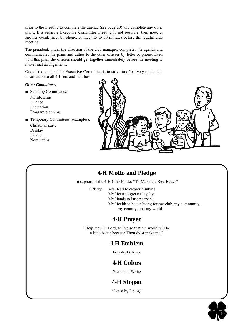prior to the meeting to complete the agenda (see page 20) and complete any other plans. If a separate Executive Committee meeting is not possible, then meet at another event, meet by phone, or meet 15 to 30 minutes before the regular club meeting.

The president, under the direction of the club manager, completes the agenda and communicates the plans and duties to the other officers by letter or phone. Even with this plan, the officers should get together immediately before the meeting to make final arrangements.

One of the goals of the Executive Committee is to strive to effectively relate club information to all 4-H'ers and families.

### *Other Committees*

- Standing Committees: Membership Finance Recreation Program planning
- Temporary Committees (examples):
	- Christmas party Display Parade Nominating



## **4-H Motto and Pledge**

In support of the 4-H Club Motto: "To Make the Best Better"

I Pledge: My Head to clearer thinking,

- My Heart to greater loyalty,
	- My Hands to larger service,
	- My Health to better living for my club, my community,
		- my country, and my world.

## **4-H Prayer**

"Help me, Oh Lord, to live so that the world will be a little better because Thou didst make me."

## **4-H Emblem**

Four-leaf Clover

## **4-H Colors**

Green and White

## **4-H Slogan**

"Learn by Doing"

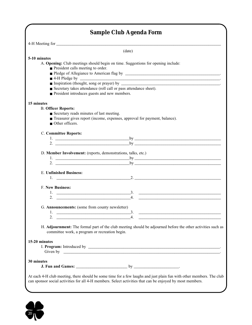|                                                                                                                             | (date)                                                                                                                                                                                                                                                                                                      |
|-----------------------------------------------------------------------------------------------------------------------------|-------------------------------------------------------------------------------------------------------------------------------------------------------------------------------------------------------------------------------------------------------------------------------------------------------------|
| 5-10 minutes                                                                                                                |                                                                                                                                                                                                                                                                                                             |
|                                                                                                                             | A. Opening: Club meetings should begin on time. Suggestions for opening include:                                                                                                                                                                                                                            |
| President calls meeting to order.                                                                                           |                                                                                                                                                                                                                                                                                                             |
|                                                                                                                             |                                                                                                                                                                                                                                                                                                             |
|                                                                                                                             |                                                                                                                                                                                                                                                                                                             |
|                                                                                                                             |                                                                                                                                                                                                                                                                                                             |
|                                                                                                                             | Secretary takes attendance (roll call or pass attendance sheet).                                                                                                                                                                                                                                            |
| President introduces guests and new members.                                                                                |                                                                                                                                                                                                                                                                                                             |
| 15 minutes                                                                                                                  |                                                                                                                                                                                                                                                                                                             |
| <b>B. Officer Reports:</b>                                                                                                  |                                                                                                                                                                                                                                                                                                             |
| Secretary reads minutes of last meeting.                                                                                    |                                                                                                                                                                                                                                                                                                             |
|                                                                                                                             | Treasurer gives report (income, expenses, approval for payment, balance).                                                                                                                                                                                                                                   |
| Other officers.                                                                                                             |                                                                                                                                                                                                                                                                                                             |
| C. Committee Reports:                                                                                                       |                                                                                                                                                                                                                                                                                                             |
|                                                                                                                             | 1. $by$                                                                                                                                                                                                                                                                                                     |
|                                                                                                                             | 2. $\qquad \qquad \qquad \qquad$ by                                                                                                                                                                                                                                                                         |
| D. Member Involvement: (reports, demonstrations, talks, etc.)                                                               | 1. $by$                                                                                                                                                                                                                                                                                                     |
| 2. $\frac{1}{\sqrt{1-\frac{1}{2}}\left\vert \frac{1}{2}\right\vert }$                                                       | $\mathbf{b}$ v $\mathbf{b}$ v $\mathbf{b}$ v $\mathbf{b}$ v $\mathbf{b}$ v $\mathbf{b}$ v $\mathbf{b}$ v $\mathbf{b}$ v $\mathbf{b}$ v $\mathbf{b}$ v $\mathbf{b}$ v $\mathbf{b}$ v $\mathbf{b}$ v $\mathbf{b}$ v $\mathbf{b}$ v $\mathbf{b}$ v $\mathbf{b}$ v $\mathbf{b}$ v $\mathbf{b}$ v $\mathbf{b}$ v |
| <b>E. Unfinished Business:</b>                                                                                              |                                                                                                                                                                                                                                                                                                             |
|                                                                                                                             | 1. $2.$                                                                                                                                                                                                                                                                                                     |
| <b>F. New Business:</b>                                                                                                     |                                                                                                                                                                                                                                                                                                             |
|                                                                                                                             |                                                                                                                                                                                                                                                                                                             |
| 2.<br><u> 1989 - Johann Harry Harry Harry Harry Harry Harry Harry Harry Harry Harry Harry Harry Harry Harry Harry Harry</u> | 4.                                                                                                                                                                                                                                                                                                          |
|                                                                                                                             |                                                                                                                                                                                                                                                                                                             |
| G. Announcements: (some from county newsletter)                                                                             |                                                                                                                                                                                                                                                                                                             |
| <u> 1989 - Johann Harry Harry Harry Harry Harry Harry Harry Harry Harry Harry Harry Harry Harry Harry Harry Harry</u>       | $\overline{3}$ .<br><u> 1988 - Johann Barn, mars ann an t-Amhain Aonaich an t-Aonaich an t-Aonaich ann an t-Aonaich ann an t-Aonaich</u>                                                                                                                                                                    |
| 2.<br><u> 1989 - Johann Barn, mars and de Branch Barn, mars and de Branch Barn, mars and de Branch Barn, mars and de Br</u> | $\overline{4}$ .                                                                                                                                                                                                                                                                                            |
| committee work, a program or recreation begin.                                                                              | H. Adjournment: The formal part of the club meeting should be adjourned before the other activities such as                                                                                                                                                                                                 |
| 15-20 minutes                                                                                                               |                                                                                                                                                                                                                                                                                                             |
|                                                                                                                             |                                                                                                                                                                                                                                                                                                             |
|                                                                                                                             | Given by <u>example and the set of the set of the set of the set of the set of the set of the set of the set of the set of the set of the set of the set of the set of the set of the set of the set of the set of the set of th</u>                                                                        |
| 30 minutes                                                                                                                  |                                                                                                                                                                                                                                                                                                             |
|                                                                                                                             |                                                                                                                                                                                                                                                                                                             |
|                                                                                                                             |                                                                                                                                                                                                                                                                                                             |